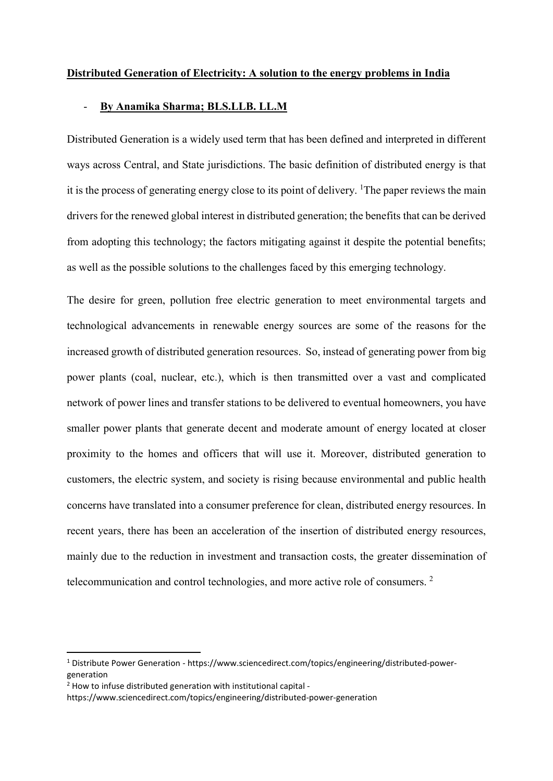# Distributed Generation of Electricity: A solution to the energy problems in India

#### - By Anamika Sharma; BLS.LLB. LL.M

Distributed Generation is a widely used term that has been defined and interpreted in different ways across Central, and State jurisdictions. The basic definition of distributed energy is that it is the process of generating energy close to its point of delivery. <sup>1</sup>The paper reviews the main drivers for the renewed global interest in distributed generation; the benefits that can be derived from adopting this technology; the factors mitigating against it despite the potential benefits; as well as the possible solutions to the challenges faced by this emerging technology.

The desire for green, pollution free electric generation to meet environmental targets and technological advancements in renewable energy sources are some of the reasons for the increased growth of distributed generation resources. So, instead of generating power from big power plants (coal, nuclear, etc.), which is then transmitted over a vast and complicated network of power lines and transfer stations to be delivered to eventual homeowners, you have smaller power plants that generate decent and moderate amount of energy located at closer proximity to the homes and officers that will use it. Moreover, distributed generation to customers, the electric system, and society is rising because environmental and public health concerns have translated into a consumer preference for clean, distributed energy resources. In recent years, there has been an acceleration of the insertion of distributed energy resources, mainly due to the reduction in investment and transaction costs, the greater dissemination of telecommunication and control technologies, and more active role of consumers.<sup>2</sup>

 <sup>1</sup> Distribute Power Generation - https://www.sciencedirect.com/topics/engineering/distributed-powergeneration

 $2$  How to infuse distributed generation with institutional capital -

https://www.sciencedirect.com/topics/engineering/distributed-power-generation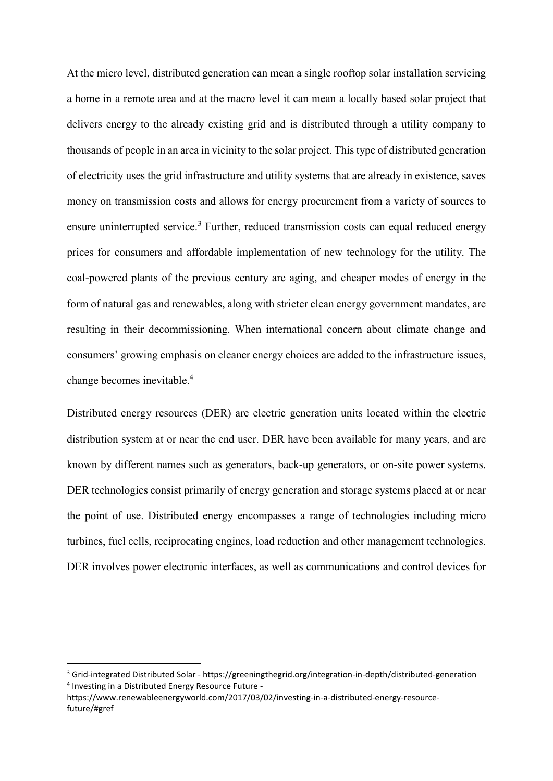At the micro level, distributed generation can mean a single rooftop solar installation servicing a home in a remote area and at the macro level it can mean a locally based solar project that delivers energy to the already existing grid and is distributed through a utility company to thousands of people in an area in vicinity to the solar project. This type of distributed generation of electricity uses the grid infrastructure and utility systems that are already in existence, saves money on transmission costs and allows for energy procurement from a variety of sources to ensure uninterrupted service.<sup>3</sup> Further, reduced transmission costs can equal reduced energy prices for consumers and affordable implementation of new technology for the utility. The coal-powered plants of the previous century are aging, and cheaper modes of energy in the form of natural gas and renewables, along with stricter clean energy government mandates, are resulting in their decommissioning. When international concern about climate change and consumers' growing emphasis on cleaner energy choices are added to the infrastructure issues, change becomes inevitable.4

Distributed energy resources (DER) are electric generation units located within the electric distribution system at or near the end user. DER have been available for many years, and are known by different names such as generators, back-up generators, or on-site power systems. DER technologies consist primarily of energy generation and storage systems placed at or near the point of use. Distributed energy encompasses a range of technologies including micro turbines, fuel cells, reciprocating engines, load reduction and other management technologies. DER involves power electronic interfaces, as well as communications and control devices for

 <sup>3</sup> Grid-integrated Distributed Solar - https://greeningthegrid.org/integration-in-depth/distributed-generation <sup>4</sup> Investing in a Distributed Energy Resource Future -

https://www.renewableenergyworld.com/2017/03/02/investing-in-a-distributed-energy-resourcefuture/#gref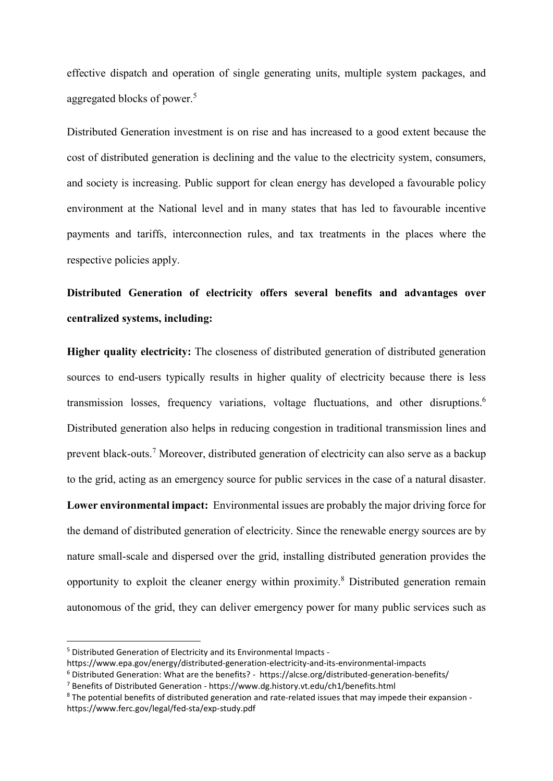effective dispatch and operation of single generating units, multiple system packages, and aggregated blocks of power.<sup>5</sup>

Distributed Generation investment is on rise and has increased to a good extent because the cost of distributed generation is declining and the value to the electricity system, consumers, and society is increasing. Public support for clean energy has developed a favourable policy environment at the National level and in many states that has led to favourable incentive payments and tariffs, interconnection rules, and tax treatments in the places where the respective policies apply.

# Distributed Generation of electricity offers several benefits and advantages over centralized systems, including:

Higher quality electricity: The closeness of distributed generation of distributed generation sources to end-users typically results in higher quality of electricity because there is less transmission losses, frequency variations, voltage fluctuations, and other disruptions.<sup>6</sup> Distributed generation also helps in reducing congestion in traditional transmission lines and prevent black-outs.<sup>7</sup> Moreover, distributed generation of electricity can also serve as a backup to the grid, acting as an emergency source for public services in the case of a natural disaster. Lower environmental impact: Environmental issues are probably the major driving force for the demand of distributed generation of electricity. Since the renewable energy sources are by nature small-scale and dispersed over the grid, installing distributed generation provides the opportunity to exploit the cleaner energy within proximity.<sup>8</sup> Distributed generation remain autonomous of the grid, they can deliver emergency power for many public services such as

 <sup>5</sup> Distributed Generation of Electricity and its Environmental Impacts -

https://www.epa.gov/energy/distributed-generation-electricity-and-its-environmental-impacts

<sup>6</sup> Distributed Generation: What are the benefits? - https://alcse.org/distributed-generation-benefits/

<sup>7</sup> Benefits of Distributed Generation - https://www.dg.history.vt.edu/ch1/benefits.html

<sup>8</sup> The potential benefits of distributed generation and rate-related issues that may impede their expansion https://www.ferc.gov/legal/fed-sta/exp-study.pdf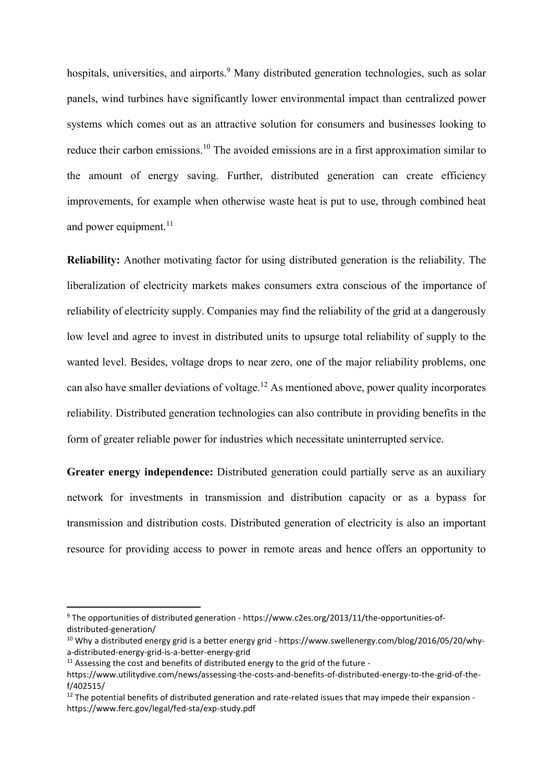hospitals, universities, and airports.<sup>9</sup> Many distributed generation technologies, such as solar panels, wind turbines have significantly lower environmental impact than centralized power systems which comes out as an attractive solution for consumers and businesses looking to reduce their carbon emissions.<sup>10</sup> The avoided emissions are in a first approximation similar to the amount of energy saving. Further, distributed generation can create efficiency improvements, for example when otherwise waste heat is put to use, through combined heat and power equipment. $11$ 

Reliability: Another motivating factor for using distributed generation is the reliability. The liberalization of electricity markets makes consumers extra conscious of the importance of reliability of electricity supply. Companies may find the reliability of the grid at a dangerously low level and agree to invest in distributed units to upsurge total reliability of supply to the wanted level. Besides, voltage drops to near zero, one of the major reliability problems, one can also have smaller deviations of voltage.<sup>12</sup> As mentioned above, power quality incorporates reliability. Distributed generation technologies can also contribute in providing benefits in the form of greater reliable power for industries which necessitate uninterrupted service.

Greater energy independence: Distributed generation could partially serve as an auxiliary network for investments in transmission and distribution capacity or as a bypass for transmission and distribution costs. Distributed generation of electricity is also an important resource for providing access to power in remote areas and hence offers an opportunity to

 <sup>9</sup> The opportunities of distributed generation - https://www.c2es.org/2013/11/the-opportunities-ofdistributed-generation/

<sup>&</sup>lt;sup>10</sup> Why a distributed energy grid is a better energy grid - https://www.swellenergy.com/blog/2016/05/20/whya-distributed-energy-grid-is-a-better-energy-grid

 $11$  Assessing the cost and benefits of distributed energy to the grid of the future -

https://www.utilitydive.com/news/assessing-the-costs-and-benefits-of-distributed-energy-to-the-grid-of-thef/402515/

<sup>&</sup>lt;sup>12</sup> The potential benefits of distributed generation and rate-related issues that may impede their expansion https://www.ferc.gov/legal/fed-sta/exp-study.pdf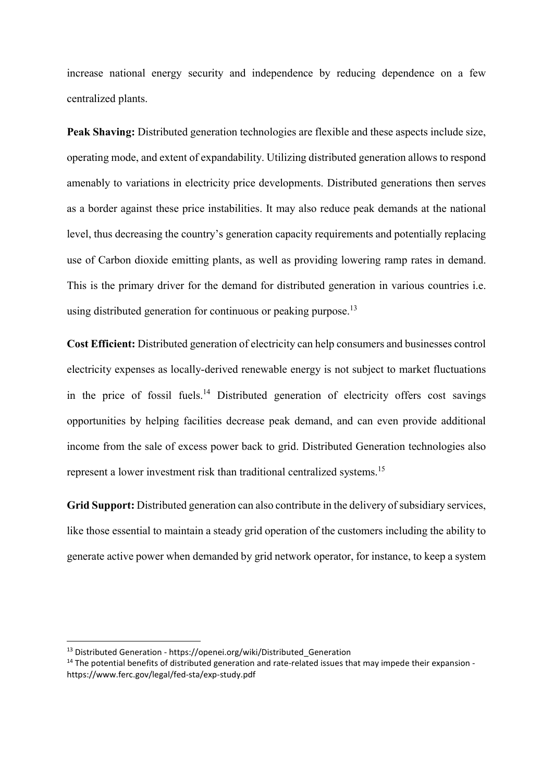increase national energy security and independence by reducing dependence on a few centralized plants.

Peak Shaving: Distributed generation technologies are flexible and these aspects include size, operating mode, and extent of expandability. Utilizing distributed generation allows to respond amenably to variations in electricity price developments. Distributed generations then serves as a border against these price instabilities. It may also reduce peak demands at the national level, thus decreasing the country's generation capacity requirements and potentially replacing use of Carbon dioxide emitting plants, as well as providing lowering ramp rates in demand. This is the primary driver for the demand for distributed generation in various countries i.e. using distributed generation for continuous or peaking purpose.<sup>13</sup>

Cost Efficient: Distributed generation of electricity can help consumers and businesses control electricity expenses as locally-derived renewable energy is not subject to market fluctuations in the price of fossil fuels.<sup>14</sup> Distributed generation of electricity offers cost savings opportunities by helping facilities decrease peak demand, and can even provide additional income from the sale of excess power back to grid. Distributed Generation technologies also represent a lower investment risk than traditional centralized systems.<sup>15</sup>

Grid Support: Distributed generation can also contribute in the delivery of subsidiary services, like those essential to maintain a steady grid operation of the customers including the ability to generate active power when demanded by grid network operator, for instance, to keep a system

<sup>&</sup>lt;sup>13</sup> Distributed Generation - https://openei.org/wiki/Distributed Generation

<sup>&</sup>lt;sup>14</sup> The potential benefits of distributed generation and rate-related issues that may impede their expansion https://www.ferc.gov/legal/fed-sta/exp-study.pdf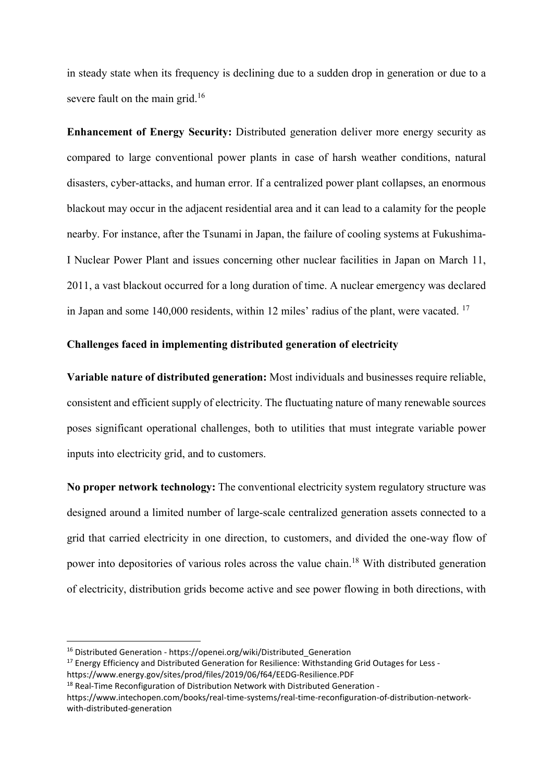in steady state when its frequency is declining due to a sudden drop in generation or due to a severe fault on the main grid.<sup>16</sup>

Enhancement of Energy Security: Distributed generation deliver more energy security as compared to large conventional power plants in case of harsh weather conditions, natural disasters, cyber-attacks, and human error. If a centralized power plant collapses, an enormous blackout may occur in the adjacent residential area and it can lead to a calamity for the people nearby. For instance, after the Tsunami in Japan, the failure of cooling systems at Fukushima-I Nuclear Power Plant and issues concerning other nuclear facilities in Japan on March 11, 2011, a vast blackout occurred for a long duration of time. A nuclear emergency was declared in Japan and some 140,000 residents, within 12 miles' radius of the plant, were vacated. <sup>17</sup>

# Challenges faced in implementing distributed generation of electricity

Variable nature of distributed generation: Most individuals and businesses require reliable, consistent and efficient supply of electricity. The fluctuating nature of many renewable sources poses significant operational challenges, both to utilities that must integrate variable power inputs into electricity grid, and to customers.

No proper network technology: The conventional electricity system regulatory structure was designed around a limited number of large-scale centralized generation assets connected to a grid that carried electricity in one direction, to customers, and divided the one-way flow of power into depositories of various roles across the value chain.<sup>18</sup> With distributed generation of electricity, distribution grids become active and see power flowing in both directions, with

<sup>&</sup>lt;sup>16</sup> Distributed Generation - https://openei.org/wiki/Distributed Generation

<sup>&</sup>lt;sup>17</sup> Energy Efficiency and Distributed Generation for Resilience: Withstanding Grid Outages for Less https://www.energy.gov/sites/prod/files/2019/06/f64/EEDG-Resilience.PDF

<sup>&</sup>lt;sup>18</sup> Real-Time Reconfiguration of Distribution Network with Distributed Generation -

https://www.intechopen.com/books/real-time-systems/real-time-reconfiguration-of-distribution-networkwith-distributed-generation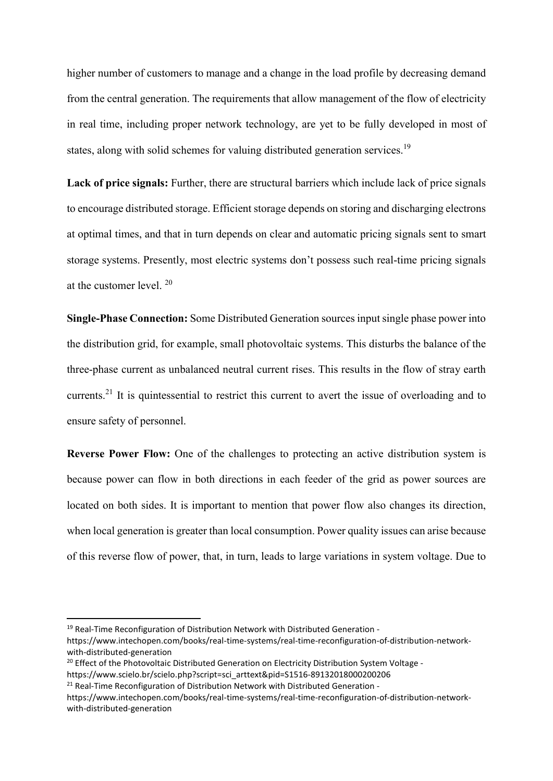higher number of customers to manage and a change in the load profile by decreasing demand from the central generation. The requirements that allow management of the flow of electricity in real time, including proper network technology, are yet to be fully developed in most of states, along with solid schemes for valuing distributed generation services.<sup>19</sup>

Lack of price signals: Further, there are structural barriers which include lack of price signals to encourage distributed storage. Efficient storage depends on storing and discharging electrons at optimal times, and that in turn depends on clear and automatic pricing signals sent to smart storage systems. Presently, most electric systems don't possess such real-time pricing signals at the customer level. <sup>20</sup>

Single-Phase Connection: Some Distributed Generation sources input single phase power into the distribution grid, for example, small photovoltaic systems. This disturbs the balance of the three-phase current as unbalanced neutral current rises. This results in the flow of stray earth currents.<sup>21</sup> It is quintessential to restrict this current to avert the issue of overloading and to ensure safety of personnel.

Reverse Power Flow: One of the challenges to protecting an active distribution system is because power can flow in both directions in each feeder of the grid as power sources are located on both sides. It is important to mention that power flow also changes its direction, when local generation is greater than local consumption. Power quality issues can arise because of this reverse flow of power, that, in turn, leads to large variations in system voltage. Due to

 <sup>19</sup> Real-Time Reconfiguration of Distribution Network with Distributed Generation -

https://www.intechopen.com/books/real-time-systems/real-time-reconfiguration-of-distribution-networkwith-distributed-generation

<sup>&</sup>lt;sup>20</sup> Effect of the Photovoltaic Distributed Generation on Electricity Distribution System Voltage https://www.scielo.br/scielo.php?script=sci\_arttext&pid=S1516-89132018000200206

 $21$  Real-Time Reconfiguration of Distribution Network with Distributed Generation -

https://www.intechopen.com/books/real-time-systems/real-time-reconfiguration-of-distribution-networkwith-distributed-generation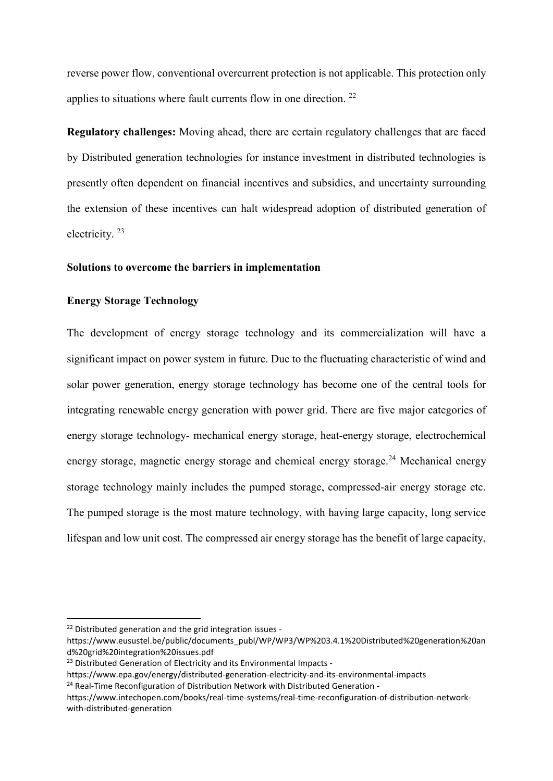reverse power flow, conventional overcurrent protection is not applicable. This protection only applies to situations where fault currents flow in one direction.  $22$ 

Regulatory challenges: Moving ahead, there are certain regulatory challenges that are faced by Distributed generation technologies for instance investment in distributed technologies is presently often dependent on financial incentives and subsidies, and uncertainty surrounding the extension of these incentives can halt widespread adoption of distributed generation of electricity. <sup>23</sup>

## Solutions to overcome the barriers in implementation

# Energy Storage Technology

The development of energy storage technology and its commercialization will have a significant impact on power system in future. Due to the fluctuating characteristic of wind and solar power generation, energy storage technology has become one of the central tools for integrating renewable energy generation with power grid. There are five major categories of energy storage technology- mechanical energy storage, heat-energy storage, electrochemical energy storage, magnetic energy storage and chemical energy storage.<sup>24</sup> Mechanical energy storage technology mainly includes the pumped storage, compressed-air energy storage etc. The pumped storage is the most mature technology, with having large capacity, long service lifespan and low unit cost. The compressed air energy storage has the benefit of large capacity,

 $22$  Distributed generation and the grid integration issues -

https://www.eusustel.be/public/documents\_publ/WP/WP3/WP%203.4.1%20Distributed%20generation%20an d%20grid%20integration%20issues.pdf

<sup>&</sup>lt;sup>23</sup> Distributed Generation of Electricity and its Environmental Impacts -

https://www.epa.gov/energy/distributed-generation-electricity-and-its-environmental-impacts

 $24$  Real-Time Reconfiguration of Distribution Network with Distributed Generation -

https://www.intechopen.com/books/real-time-systems/real-time-reconfiguration-of-distribution-networkwith-distributed-generation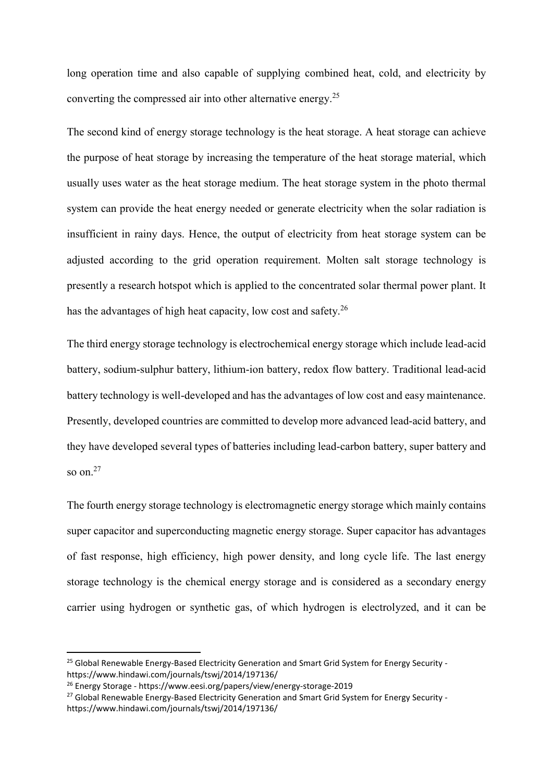long operation time and also capable of supplying combined heat, cold, and electricity by converting the compressed air into other alternative energy.<sup>25</sup>

The second kind of energy storage technology is the heat storage. A heat storage can achieve the purpose of heat storage by increasing the temperature of the heat storage material, which usually uses water as the heat storage medium. The heat storage system in the photo thermal system can provide the heat energy needed or generate electricity when the solar radiation is insufficient in rainy days. Hence, the output of electricity from heat storage system can be adjusted according to the grid operation requirement. Molten salt storage technology is presently a research hotspot which is applied to the concentrated solar thermal power plant. It has the advantages of high heat capacity, low cost and safety.<sup>26</sup>

The third energy storage technology is electrochemical energy storage which include lead-acid battery, sodium-sulphur battery, lithium-ion battery, redox flow battery. Traditional lead-acid battery technology is well-developed and has the advantages of low cost and easy maintenance. Presently, developed countries are committed to develop more advanced lead-acid battery, and they have developed several types of batteries including lead-carbon battery, super battery and so on. $27$ 

The fourth energy storage technology is electromagnetic energy storage which mainly contains super capacitor and superconducting magnetic energy storage. Super capacitor has advantages of fast response, high efficiency, high power density, and long cycle life. The last energy storage technology is the chemical energy storage and is considered as a secondary energy carrier using hydrogen or synthetic gas, of which hydrogen is electrolyzed, and it can be

<sup>&</sup>lt;sup>25</sup> Global Renewable Energy-Based Electricity Generation and Smart Grid System for Energy Security https://www.hindawi.com/journals/tswj/2014/197136/

<sup>26</sup> Energy Storage - https://www.eesi.org/papers/view/energy-storage-2019

<sup>&</sup>lt;sup>27</sup> Global Renewable Energy-Based Electricity Generation and Smart Grid System for Energy Security https://www.hindawi.com/journals/tswj/2014/197136/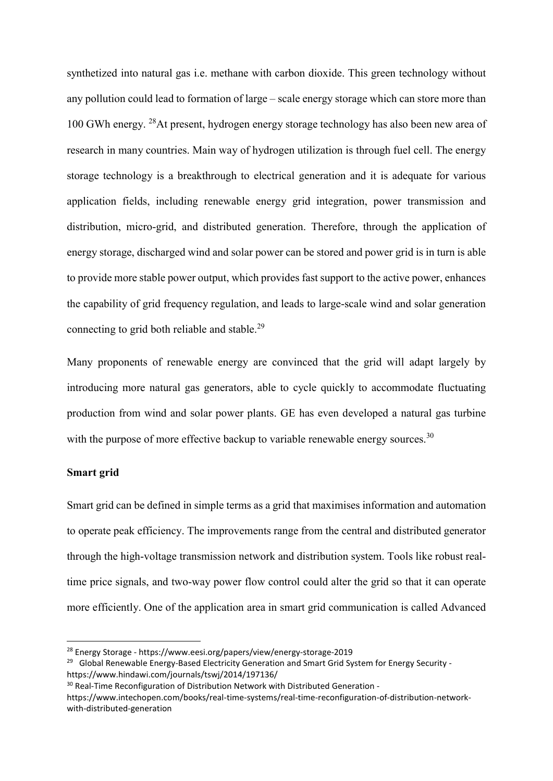synthetized into natural gas i.e. methane with carbon dioxide. This green technology without any pollution could lead to formation of large – scale energy storage which can store more than 100 GWh energy. 28At present, hydrogen energy storage technology has also been new area of research in many countries. Main way of hydrogen utilization is through fuel cell. The energy storage technology is a breakthrough to electrical generation and it is adequate for various application fields, including renewable energy grid integration, power transmission and distribution, micro-grid, and distributed generation. Therefore, through the application of energy storage, discharged wind and solar power can be stored and power grid is in turn is able to provide more stable power output, which provides fast support to the active power, enhances the capability of grid frequency regulation, and leads to large-scale wind and solar generation connecting to grid both reliable and stable.<sup>29</sup>

Many proponents of renewable energy are convinced that the grid will adapt largely by introducing more natural gas generators, able to cycle quickly to accommodate fluctuating production from wind and solar power plants. GE has even developed a natural gas turbine with the purpose of more effective backup to variable renewable energy sources.<sup>30</sup>

# Smart grid

Smart grid can be defined in simple terms as a grid that maximises information and automation to operate peak efficiency. The improvements range from the central and distributed generator through the high-voltage transmission network and distribution system. Tools like robust realtime price signals, and two-way power flow control could alter the grid so that it can operate more efficiently. One of the application area in smart grid communication is called Advanced

 <sup>28</sup> Energy Storage - https://www.eesi.org/papers/view/energy-storage-2019

<sup>&</sup>lt;sup>29</sup> Global Renewable Energy-Based Electricity Generation and Smart Grid System for Energy Security https://www.hindawi.com/journals/tswj/2014/197136/

<sup>&</sup>lt;sup>30</sup> Real-Time Reconfiguration of Distribution Network with Distributed Generation -

https://www.intechopen.com/books/real-time-systems/real-time-reconfiguration-of-distribution-networkwith-distributed-generation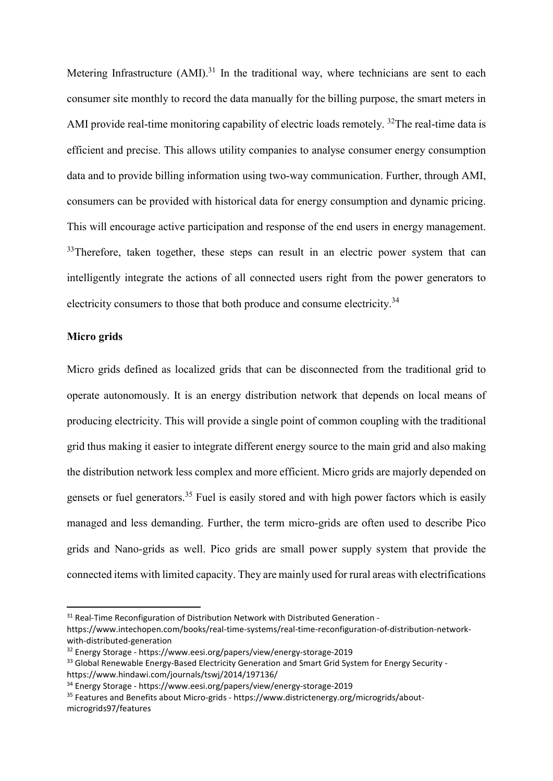Metering Infrastructure  $(AMI)^{31}$  In the traditional way, where technicians are sent to each consumer site monthly to record the data manually for the billing purpose, the smart meters in AMI provide real-time monitoring capability of electric loads remotely. <sup>32</sup>The real-time data is efficient and precise. This allows utility companies to analyse consumer energy consumption data and to provide billing information using two-way communication. Further, through AMI, consumers can be provided with historical data for energy consumption and dynamic pricing. This will encourage active participation and response of the end users in energy management.  $33$ Therefore, taken together, these steps can result in an electric power system that can intelligently integrate the actions of all connected users right from the power generators to electricity consumers to those that both produce and consume electricity.<sup>34</sup>

### Micro grids

Micro grids defined as localized grids that can be disconnected from the traditional grid to operate autonomously. It is an energy distribution network that depends on local means of producing electricity. This will provide a single point of common coupling with the traditional grid thus making it easier to integrate different energy source to the main grid and also making the distribution network less complex and more efficient. Micro grids are majorly depended on gensets or fuel generators.<sup>35</sup> Fuel is easily stored and with high power factors which is easily managed and less demanding. Further, the term micro-grids are often used to describe Pico grids and Nano-grids as well. Pico grids are small power supply system that provide the connected items with limited capacity. They are mainly used for rural areas with electrifications

<sup>&</sup>lt;sup>31</sup> Real-Time Reconfiguration of Distribution Network with Distributed Generation -

https://www.intechopen.com/books/real-time-systems/real-time-reconfiguration-of-distribution-networkwith-distributed-generation

<sup>32</sup> Energy Storage - https://www.eesi.org/papers/view/energy-storage-2019

<sup>&</sup>lt;sup>33</sup> Global Renewable Energy-Based Electricity Generation and Smart Grid System for Energy Security https://www.hindawi.com/journals/tswj/2014/197136/

<sup>34</sup> Energy Storage - https://www.eesi.org/papers/view/energy-storage-2019

<sup>35</sup> Features and Benefits about Micro-grids - https://www.districtenergy.org/microgrids/aboutmicrogrids97/features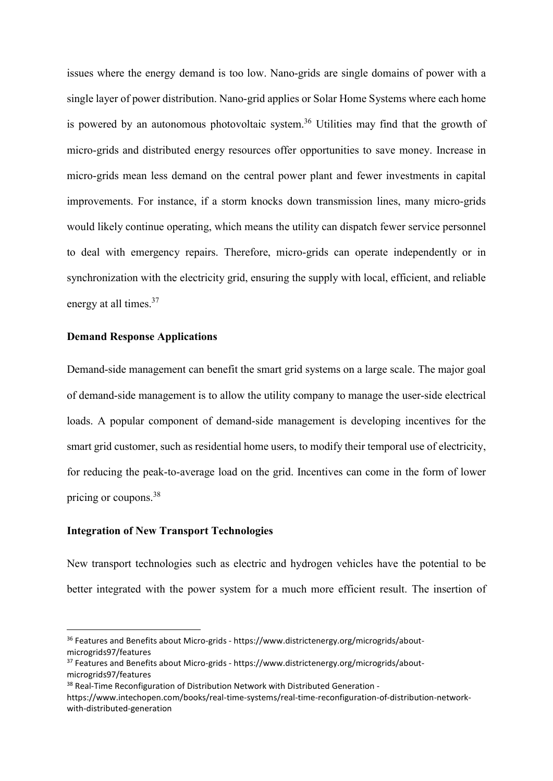issues where the energy demand is too low. Nano-grids are single domains of power with a single layer of power distribution. Nano-grid applies or Solar Home Systems where each home is powered by an autonomous photovoltaic system.<sup>36</sup> Utilities may find that the growth of micro-grids and distributed energy resources offer opportunities to save money. Increase in micro-grids mean less demand on the central power plant and fewer investments in capital improvements. For instance, if a storm knocks down transmission lines, many micro-grids would likely continue operating, which means the utility can dispatch fewer service personnel to deal with emergency repairs. Therefore, micro-grids can operate independently or in synchronization with the electricity grid, ensuring the supply with local, efficient, and reliable energy at all times.<sup>37</sup>

## Demand Response Applications

Demand-side management can benefit the smart grid systems on a large scale. The major goal of demand-side management is to allow the utility company to manage the user-side electrical loads. A popular component of demand-side management is developing incentives for the smart grid customer, such as residential home users, to modify their temporal use of electricity, for reducing the peak-to-average load on the grid. Incentives can come in the form of lower pricing or coupons.<sup>38</sup>

## Integration of New Transport Technologies

New transport technologies such as electric and hydrogen vehicles have the potential to be better integrated with the power system for a much more efficient result. The insertion of

 <sup>36</sup> Features and Benefits about Micro-grids - https://www.districtenergy.org/microgrids/aboutmicrogrids97/features

<sup>&</sup>lt;sup>37</sup> Features and Benefits about Micro-grids - https://www.districtenergy.org/microgrids/aboutmicrogrids97/features

<sup>&</sup>lt;sup>38</sup> Real-Time Reconfiguration of Distribution Network with Distributed Generation -

https://www.intechopen.com/books/real-time-systems/real-time-reconfiguration-of-distribution-networkwith-distributed-generation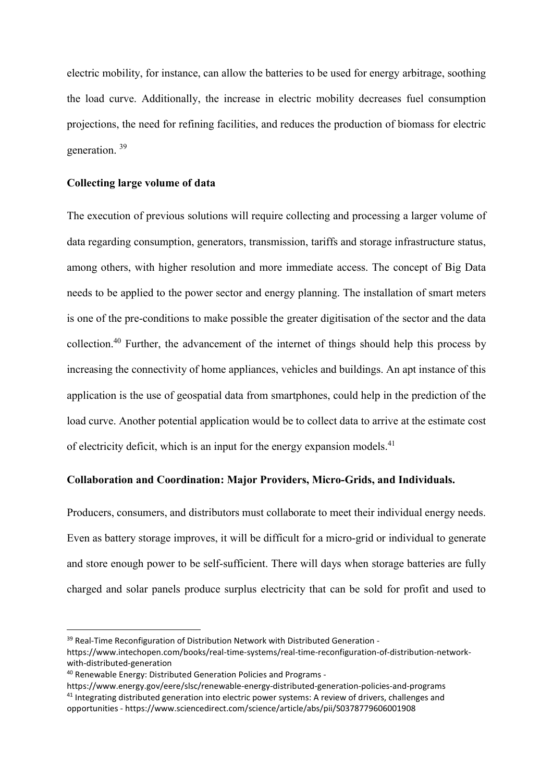electric mobility, for instance, can allow the batteries to be used for energy arbitrage, soothing the load curve. Additionally, the increase in electric mobility decreases fuel consumption projections, the need for refining facilities, and reduces the production of biomass for electric generation. <sup>39</sup>

## Collecting large volume of data

The execution of previous solutions will require collecting and processing a larger volume of data regarding consumption, generators, transmission, tariffs and storage infrastructure status, among others, with higher resolution and more immediate access. The concept of Big Data needs to be applied to the power sector and energy planning. The installation of smart meters is one of the pre-conditions to make possible the greater digitisation of the sector and the data collection.40 Further, the advancement of the internet of things should help this process by increasing the connectivity of home appliances, vehicles and buildings. An apt instance of this application is the use of geospatial data from smartphones, could help in the prediction of the load curve. Another potential application would be to collect data to arrive at the estimate cost of electricity deficit, which is an input for the energy expansion models.<sup>41</sup>

## Collaboration and Coordination: Major Providers, Micro-Grids, and Individuals.

Producers, consumers, and distributors must collaborate to meet their individual energy needs. Even as battery storage improves, it will be difficult for a micro-grid or individual to generate and store enough power to be self-sufficient. There will days when storage batteries are fully charged and solar panels produce surplus electricity that can be sold for profit and used to

<sup>&</sup>lt;sup>39</sup> Real-Time Reconfiguration of Distribution Network with Distributed Generation -

https://www.intechopen.com/books/real-time-systems/real-time-reconfiguration-of-distribution-networkwith-distributed-generation

<sup>40</sup> Renewable Energy: Distributed Generation Policies and Programs -

https://www.energy.gov/eere/slsc/renewable-energy-distributed-generation-policies-and-programs <sup>41</sup> Integrating distributed generation into electric power systems: A review of drivers, challenges and opportunities - https://www.sciencedirect.com/science/article/abs/pii/S0378779606001908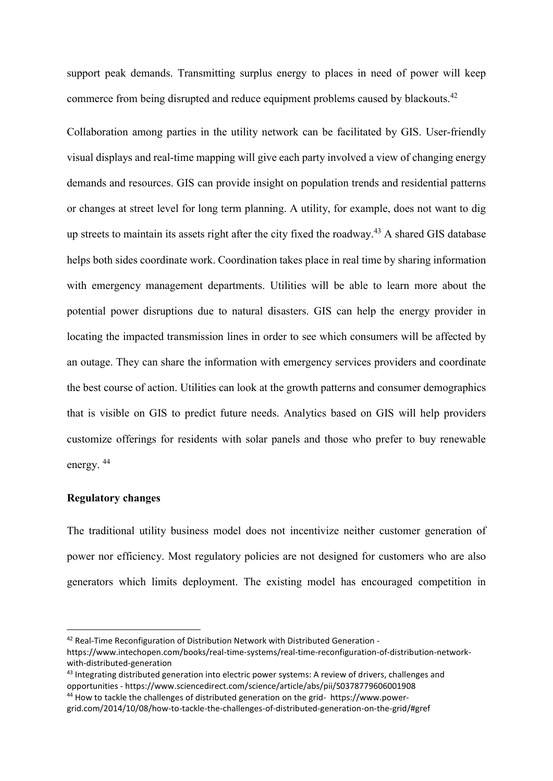support peak demands. Transmitting surplus energy to places in need of power will keep commerce from being disrupted and reduce equipment problems caused by blackouts.<sup>42</sup>

Collaboration among parties in the utility network can be facilitated by GIS. User-friendly visual displays and real-time mapping will give each party involved a view of changing energy demands and resources. GIS can provide insight on population trends and residential patterns or changes at street level for long term planning. A utility, for example, does not want to dig up streets to maintain its assets right after the city fixed the roadway.<sup>43</sup> A shared GIS database helps both sides coordinate work. Coordination takes place in real time by sharing information with emergency management departments. Utilities will be able to learn more about the potential power disruptions due to natural disasters. GIS can help the energy provider in locating the impacted transmission lines in order to see which consumers will be affected by an outage. They can share the information with emergency services providers and coordinate the best course of action. Utilities can look at the growth patterns and consumer demographics that is visible on GIS to predict future needs. Analytics based on GIS will help providers customize offerings for residents with solar panels and those who prefer to buy renewable energy. <sup>44</sup>

#### Regulatory changes

The traditional utility business model does not incentivize neither customer generation of power nor efficiency. Most regulatory policies are not designed for customers who are also generators which limits deployment. The existing model has encouraged competition in

 <sup>42</sup> Real-Time Reconfiguration of Distribution Network with Distributed Generation -

https://www.intechopen.com/books/real-time-systems/real-time-reconfiguration-of-distribution-networkwith-distributed-generation

<sup>43</sup> Integrating distributed generation into electric power systems: A review of drivers, challenges and opportunities - https://www.sciencedirect.com/science/article/abs/pii/S0378779606001908 <sup>44</sup> How to tackle the challenges of distributed generation on the grid- https://www.power-

grid.com/2014/10/08/how-to-tackle-the-challenges-of-distributed-generation-on-the-grid/#gref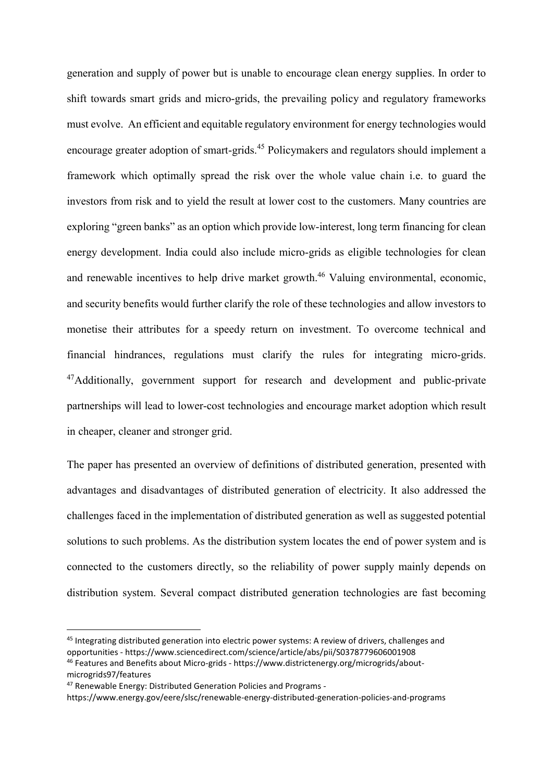generation and supply of power but is unable to encourage clean energy supplies. In order to shift towards smart grids and micro-grids, the prevailing policy and regulatory frameworks must evolve. An efficient and equitable regulatory environment for energy technologies would encourage greater adoption of smart-grids.<sup>45</sup> Policymakers and regulators should implement a framework which optimally spread the risk over the whole value chain i.e. to guard the investors from risk and to yield the result at lower cost to the customers. Many countries are exploring "green banks" as an option which provide low-interest, long term financing for clean energy development. India could also include micro-grids as eligible technologies for clean and renewable incentives to help drive market growth.<sup>46</sup> Valuing environmental, economic, and security benefits would further clarify the role of these technologies and allow investors to monetise their attributes for a speedy return on investment. To overcome technical and financial hindrances, regulations must clarify the rules for integrating micro-grids. <sup>47</sup>Additionally, government support for research and development and public-private partnerships will lead to lower-cost technologies and encourage market adoption which result in cheaper, cleaner and stronger grid.

The paper has presented an overview of definitions of distributed generation, presented with advantages and disadvantages of distributed generation of electricity. It also addressed the challenges faced in the implementation of distributed generation as well as suggested potential solutions to such problems. As the distribution system locates the end of power system and is connected to the customers directly, so the reliability of power supply mainly depends on distribution system. Several compact distributed generation technologies are fast becoming

 <sup>45</sup> Integrating distributed generation into electric power systems: A review of drivers, challenges and opportunities - https://www.sciencedirect.com/science/article/abs/pii/S0378779606001908 <sup>46</sup> Features and Benefits about Micro-grids - https://www.districtenergy.org/microgrids/about-

microgrids97/features

<sup>47</sup> Renewable Energy: Distributed Generation Policies and Programs -

https://www.energy.gov/eere/slsc/renewable-energy-distributed-generation-policies-and-programs